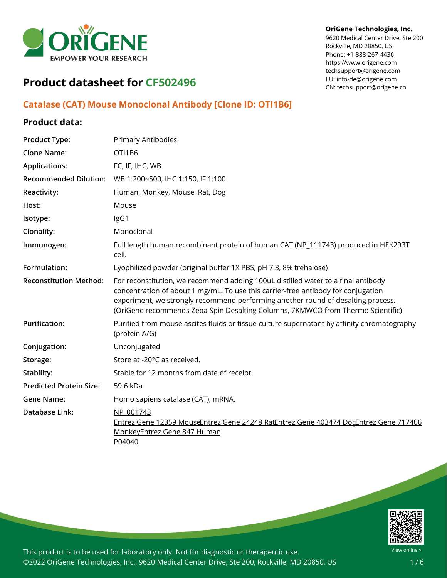

#### **OriGene Technologies, Inc.**

9620 Medical Center Drive, Ste 200 Rockville, MD 20850, US Phone: +1-888-267-4436 https://www.origene.com techsupport@origene.com EU: info-de@origene.com CN: techsupport@origene.cn

# **Product datasheet for CF502496**

## **Catalase (CAT) Mouse Monoclonal Antibody [Clone ID: OTI1B6]**

## **Product data:**

| <b>Product Type:</b>           | Primary Antibodies                                                                                                                                                                                                                                                                                                                            |
|--------------------------------|-----------------------------------------------------------------------------------------------------------------------------------------------------------------------------------------------------------------------------------------------------------------------------------------------------------------------------------------------|
| <b>Clone Name:</b>             | OTI1B6                                                                                                                                                                                                                                                                                                                                        |
| <b>Applications:</b>           | FC, IF, IHC, WB                                                                                                                                                                                                                                                                                                                               |
| <b>Recommended Dilution:</b>   | WB 1:200~500, IHC 1:150, IF 1:100                                                                                                                                                                                                                                                                                                             |
| <b>Reactivity:</b>             | Human, Monkey, Mouse, Rat, Dog                                                                                                                                                                                                                                                                                                                |
| Host:                          | Mouse                                                                                                                                                                                                                                                                                                                                         |
| Isotype:                       | IgG1                                                                                                                                                                                                                                                                                                                                          |
| Clonality:                     | Monoclonal                                                                                                                                                                                                                                                                                                                                    |
| Immunogen:                     | Full length human recombinant protein of human CAT (NP_111743) produced in HEK293T<br>cell.                                                                                                                                                                                                                                                   |
| Formulation:                   | Lyophilized powder (original buffer 1X PBS, pH 7.3, 8% trehalose)                                                                                                                                                                                                                                                                             |
| <b>Reconstitution Method:</b>  | For reconstitution, we recommend adding 100uL distilled water to a final antibody<br>concentration of about 1 mg/mL. To use this carrier-free antibody for conjugation<br>experiment, we strongly recommend performing another round of desalting process.<br>(OriGene recommends Zeba Spin Desalting Columns, 7KMWCO from Thermo Scientific) |
| <b>Purification:</b>           | Purified from mouse ascites fluids or tissue culture supernatant by affinity chromatography<br>(protein A/G)                                                                                                                                                                                                                                  |
| Conjugation:                   | Unconjugated                                                                                                                                                                                                                                                                                                                                  |
| Storage:                       | Store at -20°C as received.                                                                                                                                                                                                                                                                                                                   |
| Stability:                     | Stable for 12 months from date of receipt.                                                                                                                                                                                                                                                                                                    |
| <b>Predicted Protein Size:</b> | 59.6 kDa                                                                                                                                                                                                                                                                                                                                      |
| <b>Gene Name:</b>              | Homo sapiens catalase (CAT), mRNA.                                                                                                                                                                                                                                                                                                            |
| Database Link:                 | NP 001743<br>Entrez Gene 12359 MouseEntrez Gene 24248 RatEntrez Gene 403474 DogEntrez Gene 717406<br>MonkeyEntrez Gene 847 Human<br>P04040                                                                                                                                                                                                    |

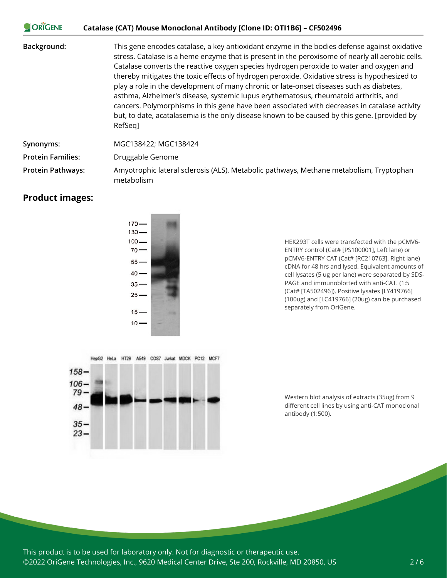#### **CORIGENE Catalase (CAT) Mouse Monoclonal Antibody [Clone ID: OTI1B6] – CF502496**

**Background:** This gene encodes catalase, a key antioxidant enzyme in the bodies defense against oxidative stress. Catalase is a heme enzyme that is present in the peroxisome of nearly all aerobic cells. Catalase converts the reactive oxygen species hydrogen peroxide to water and oxygen and thereby mitigates the toxic effects of hydrogen peroxide. Oxidative stress is hypothesized to play a role in the development of many chronic or late-onset diseases such as diabetes, asthma, Alzheimer's disease, systemic lupus erythematosus, rheumatoid arthritis, and cancers. Polymorphisms in this gene have been associated with decreases in catalase activity but, to date, acatalasemia is the only disease known to be caused by this gene. [provided by RefSeq]

**Synonyms:** MGC138422; MGC138424

**Protein Families:** Druggable Genome

**Protein Pathways:** Amyotrophic lateral sclerosis (ALS), Metabolic pathways, Methane metabolism, Tryptophan metabolism

## **Product images:**



HEK293T cells were transfected with the pCMV6- ENTRY control (Cat# [PS100001], Left lane) or pCMV6-ENTRY CAT (Cat# [RC210763], Right lane) cDNA for 48 hrs and lysed. Equivalent amounts of cell lysates (5 ug per lane) were separated by SDS-PAGE and immunoblotted with anti-CAT. (1:5 (Cat# [TA502496]). Positive lysates [LY419766] (100ug) and [LC419766] (20ug) can be purchased separately from OriGene.



Western blot analysis of extracts (35ug) from 9 different cell lines by using anti-CAT monoclonal antibody (1:500).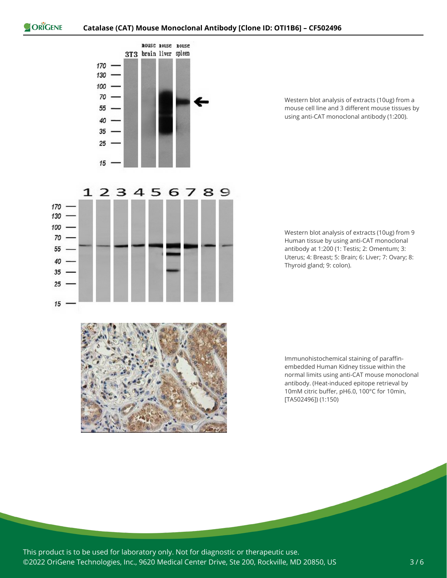170 130  $100 70.$ 55 -40  $35 25 -$ 

 $15$ 



123456789

Western blot analysis of extracts (10ug) from a mouse cell line and 3 different mouse tissues by using anti-CAT monoclonal antibody (1:200).





Immunohistochemical staining of paraffinembedded Human Kidney tissue within the normal limits using anti-CAT mouse monoclonal antibody. (Heat-induced epitope retrieval by 10mM citric buffer, pH6.0, 100°C for 10min, [TA502496]) (1:150)

This product is to be used for laboratory only. Not for diagnostic or therapeutic use. ©2022 OriGene Technologies, Inc., 9620 Medical Center Drive, Ste 200, Rockville, MD 20850, US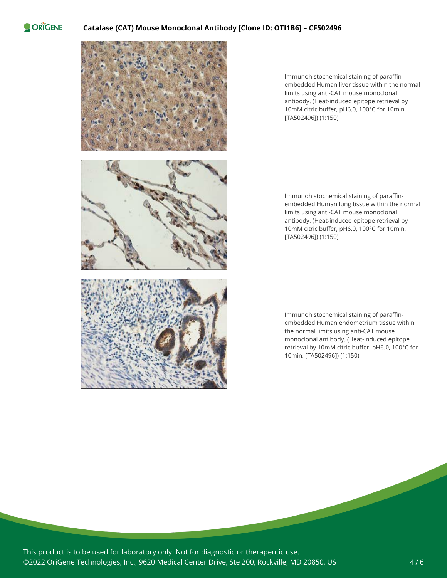ORIGENE



Immunohistochemical staining of paraffinembedded Human liver tissue within the normal limits using anti-CAT mouse monoclonal antibody. (Heat-induced epitope retrieval by 10mM citric buffer, pH6.0, 100°C for 10min, [TA502496]) (1:150)

Immunohistochemical staining of paraffinembedded Human lung tissue within the normal limits using anti-CAT mouse monoclonal antibody. (Heat-induced epitope retrieval by 10mM citric buffer, pH6.0, 100°C for 10min, [TA502496]) (1:150)

Immunohistochemical staining of paraffinembedded Human endometrium tissue within the normal limits using anti-CAT mouse monoclonal antibody. (Heat-induced epitope retrieval by 10mM citric buffer, pH6.0, 100°C for 10min, [TA502496]) (1:150)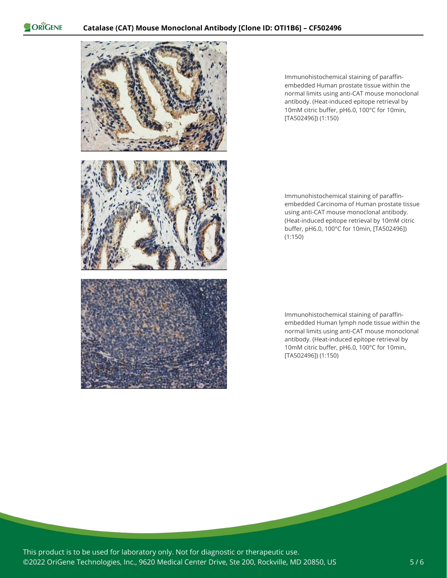ORIGENE



Immunohistochemical staining of paraffinembedded Human prostate tissue within the normal limits using anti-CAT mouse monoclonal antibody. (Heat-induced epitope retrieval by 10mM citric buffer, pH6.0, 100°C for 10min, [TA502496]) (1:150)

Immunohistochemical staining of paraffinembedded Carcinoma of Human prostate tissue using anti-CAT mouse monoclonal antibody. (Heat-induced epitope retrieval by 10mM citric buffer, pH6.0, 100°C for 10min, [TA502496]) (1:150)

Immunohistochemical staining of paraffinembedded Human lymph node tissue within the normal limits using anti-CAT mouse monoclonal antibody. (Heat-induced epitope retrieval by 10mM citric buffer, pH6.0, 100°C for 10min, [TA502496]) (1:150)